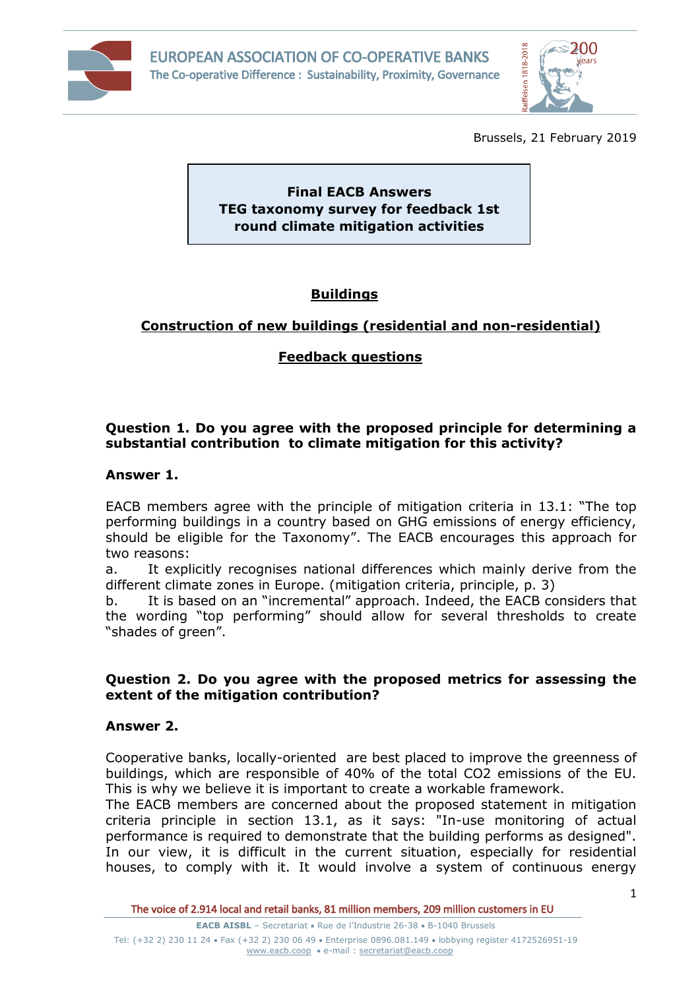



Brussels, 21 February 2019

**Final EACB Answers TEG taxonomy survey for feedback 1st round climate mitigation activities**

# **Buildings**

# **Construction of new buildings (residential and non-residential)**

# **Feedback questions**

# **Question 1. Do you agree with the proposed principle for determining a substantial contribution to climate mitigation for this activity?**

## **Answer 1.**

EACB members agree with the principle of mitigation criteria in 13.1: "The top performing buildings in a country based on GHG emissions of energy efficiency, should be eligible for the Taxonomy". The EACB encourages this approach for two reasons:

a. It explicitly recognises national differences which mainly derive from the different climate zones in Europe. (mitigation criteria, principle, p. 3)

b. It is based on an "incremental" approach. Indeed, the EACB considers that the wording "top performing" should allow for several thresholds to create "shades of green".

### **Question 2. Do you agree with the proposed metrics for assessing the extent of the mitigation contribution?**

## **Answer 2.**

Cooperative banks, locally-oriented are best placed to improve the greenness of buildings, which are responsible of 40% of the total CO2 emissions of the EU. This is why we believe it is important to create a workable framework.

The EACB members are concerned about the proposed statement in mitigation criteria principle in section 13.1, as it says: "In-use monitoring of actual performance is required to demonstrate that the building performs as designed". In our view, it is difficult in the current situation, especially for residential houses, to comply with it. It would involve a system of continuous energy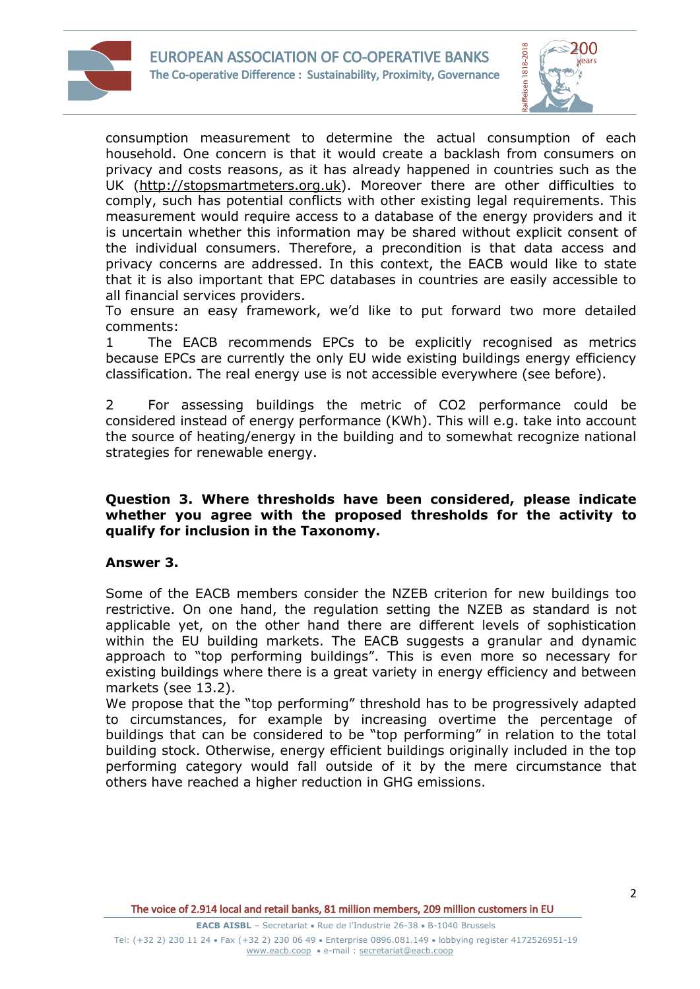



consumption measurement to determine the actual consumption of each household. One concern is that it would create a backlash from consumers on privacy and costs reasons, as it has already happened in countries such as the UK (http://stopsmartmeters.org.uk). Moreover there are other difficulties to comply, such has potential conflicts with other existing legal requirements. This measurement would require access to a database of the energy providers and it is uncertain whether this information may be shared without explicit consent of the individual consumers. Therefore, a precondition is that data access and privacy concerns are addressed. In this context, the EACB would like to state that it is also important that EPC databases in countries are easily accessible to all financial services providers.

To ensure an easy framework, we'd like to put forward two more detailed comments:

1 The EACB recommends EPCs to be explicitly recognised as metrics because EPCs are currently the only EU wide existing buildings energy efficiency classification. The real energy use is not accessible everywhere (see before).

2 For assessing buildings the metric of CO2 performance could be considered instead of energy performance (KWh). This will e.g. take into account the source of heating/energy in the building and to somewhat recognize national strategies for renewable energy.

#### **Question 3. Where thresholds have been considered, please indicate whether you agree with the proposed thresholds for the activity to qualify for inclusion in the Taxonomy.**

## **Answer 3.**

Some of the EACB members consider the NZEB criterion for new buildings too restrictive. On one hand, the regulation setting the NZEB as standard is not applicable yet, on the other hand there are different levels of sophistication within the EU building markets. The EACB suggests a granular and dynamic approach to "top performing buildings". This is even more so necessary for existing buildings where there is a great variety in energy efficiency and between markets (see 13.2).

We propose that the "top performing" threshold has to be progressively adapted to circumstances, for example by increasing overtime the percentage of buildings that can be considered to be "top performing" in relation to the total building stock. Otherwise, energy efficient buildings originally included in the top performing category would fall outside of it by the mere circumstance that others have reached a higher reduction in GHG emissions.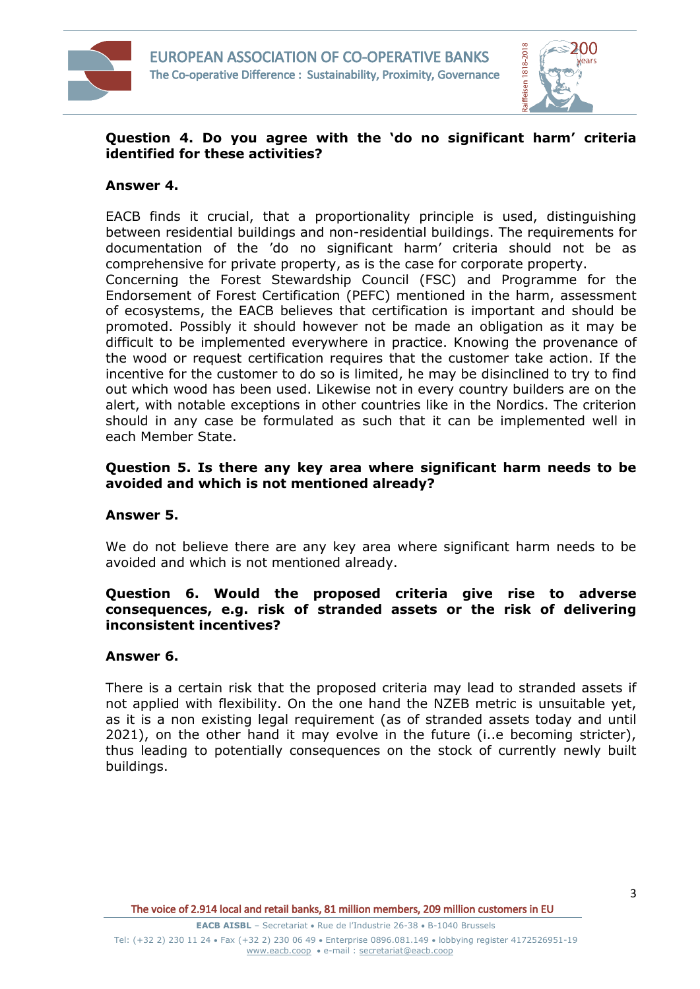



# **Question 4. Do you agree with the 'do no significant harm' criteria identified for these activities?**

### **Answer 4.**

EACB finds it crucial, that a proportionality principle is used, distinguishing between residential buildings and non-residential buildings. The requirements for documentation of the 'do no significant harm' criteria should not be as comprehensive for private property, as is the case for corporate property. Concerning the Forest Stewardship Council (FSC) and Programme for the Endorsement of Forest Certification (PEFC) mentioned in the harm, assessment of ecosystems, the EACB believes that certification is important and should be promoted. Possibly it should however not be made an obligation as it may be difficult to be implemented everywhere in practice. Knowing the provenance of the wood or request certification requires that the customer take action. If the incentive for the customer to do so is limited, he may be disinclined to try to find out which wood has been used. Likewise not in every country builders are on the alert, with notable exceptions in other countries like in the Nordics. The criterion should in any case be formulated as such that it can be implemented well in each Member State.

### **Question 5. Is there any key area where significant harm needs to be avoided and which is not mentioned already?**

#### **Answer 5.**

We do not believe there are any key area where significant harm needs to be avoided and which is not mentioned already.

### **Question 6. Would the proposed criteria give rise to adverse consequences, e.g. risk of stranded assets or the risk of delivering inconsistent incentives?**

## **Answer 6.**

There is a certain risk that the proposed criteria may lead to stranded assets if not applied with flexibility. On the one hand the NZEB metric is unsuitable yet, as it is a non existing legal requirement (as of stranded assets today and until 2021), on the other hand it may evolve in the future (i..e becoming stricter), thus leading to potentially consequences on the stock of currently newly built buildings.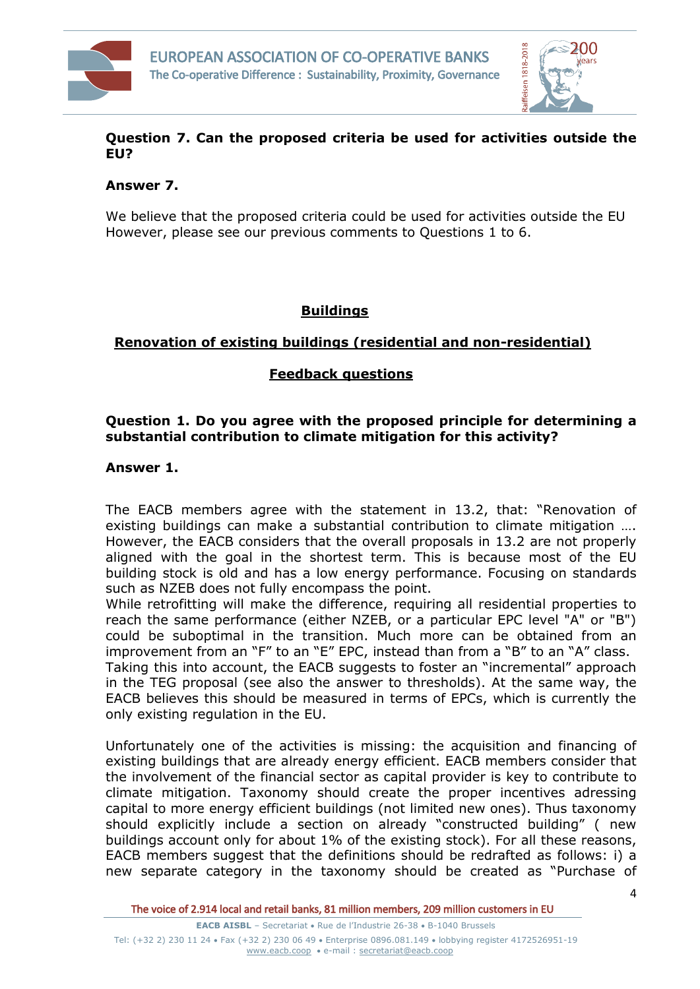



# **Question 7. Can the proposed criteria be used for activities outside the EU?**

## **Answer 7.**

We believe that the proposed criteria could be used for activities outside the EU However, please see our previous comments to Questions 1 to 6.

# **Buildings**

# **Renovation of existing buildings (residential and non-residential)**

# **Feedback questions**

# **Question 1. Do you agree with the proposed principle for determining a substantial contribution to climate mitigation for this activity?**

### **Answer 1.**

The EACB members agree with the statement in 13.2, that: "Renovation of existing buildings can make a substantial contribution to climate mitigation …. However, the EACB considers that the overall proposals in 13.2 are not properly aligned with the goal in the shortest term. This is because most of the EU building stock is old and has a low energy performance. Focusing on standards such as NZEB does not fully encompass the point.

While retrofitting will make the difference, requiring all residential properties to reach the same performance (either NZEB, or a particular EPC level "A" or "B") could be suboptimal in the transition. Much more can be obtained from an improvement from an "F" to an "E" EPC, instead than from a "B" to an "A" class. Taking this into account, the EACB suggests to foster an "incremental" approach

in the TEG proposal (see also the answer to thresholds). At the same way, the EACB believes this should be measured in terms of EPCs, which is currently the only existing regulation in the EU.

Unfortunately one of the activities is missing: the acquisition and financing of existing buildings that are already energy efficient. EACB members consider that the involvement of the financial sector as capital provider is key to contribute to climate mitigation. Taxonomy should create the proper incentives adressing capital to more energy efficient buildings (not limited new ones). Thus taxonomy should explicitly include a section on already "constructed building" ( new buildings account only for about 1% of the existing stock). For all these reasons, EACB members suggest that the definitions should be redrafted as follows: i) a new separate category in the taxonomy should be created as "Purchase of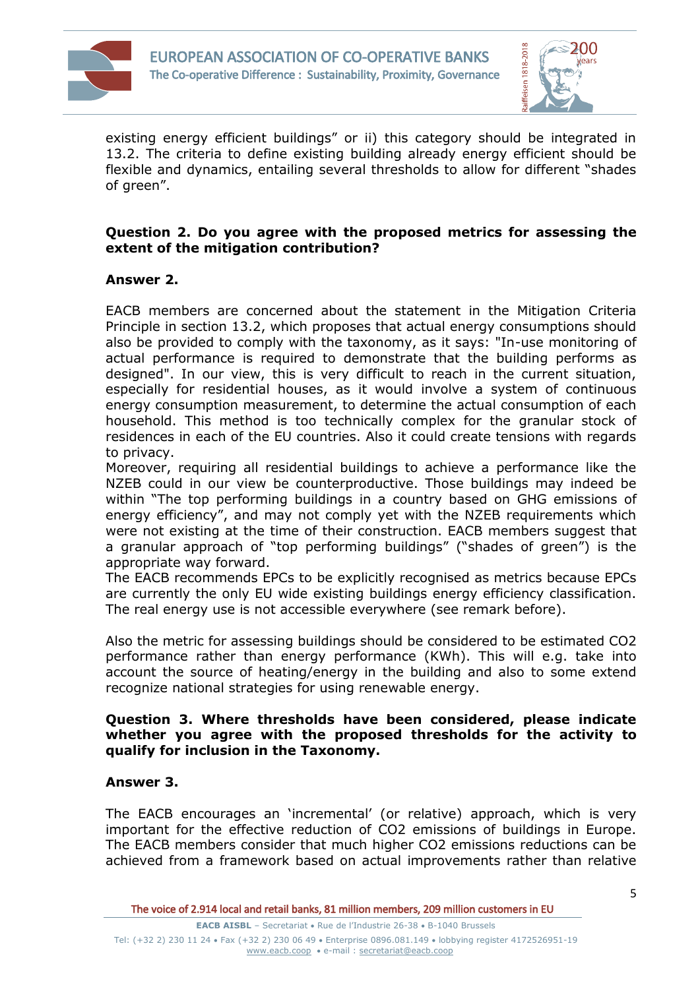



existing energy efficient buildings" or ii) this category should be integrated in 13.2. The criteria to define existing building already energy efficient should be flexible and dynamics, entailing several thresholds to allow for different "shades of green".

## **Question 2. Do you agree with the proposed metrics for assessing the extent of the mitigation contribution?**

# **Answer 2.**

EACB members are concerned about the statement in the Mitigation Criteria Principle in section 13.2, which proposes that actual energy consumptions should also be provided to comply with the taxonomy, as it says: "In-use monitoring of actual performance is required to demonstrate that the building performs as designed". In our view, this is very difficult to reach in the current situation, especially for residential houses, as it would involve a system of continuous energy consumption measurement, to determine the actual consumption of each household. This method is too technically complex for the granular stock of residences in each of the EU countries. Also it could create tensions with regards to privacy.

Moreover, requiring all residential buildings to achieve a performance like the NZEB could in our view be counterproductive. Those buildings may indeed be within "The top performing buildings in a country based on GHG emissions of energy efficiency", and may not comply yet with the NZEB requirements which were not existing at the time of their construction. EACB members suggest that a granular approach of "top performing buildings" ("shades of green") is the appropriate way forward.

The EACB recommends EPCs to be explicitly recognised as metrics because EPCs are currently the only EU wide existing buildings energy efficiency classification. The real energy use is not accessible everywhere (see remark before).

Also the metric for assessing buildings should be considered to be estimated CO2 performance rather than energy performance (KWh). This will e.g. take into account the source of heating/energy in the building and also to some extend recognize national strategies for using renewable energy.

#### **Question 3. Where thresholds have been considered, please indicate whether you agree with the proposed thresholds for the activity to qualify for inclusion in the Taxonomy.**

## **Answer 3.**

The EACB encourages an 'incremental' (or relative) approach, which is very important for the effective reduction of CO2 emissions of buildings in Europe. The EACB members consider that much higher CO2 emissions reductions can be achieved from a framework based on actual improvements rather than relative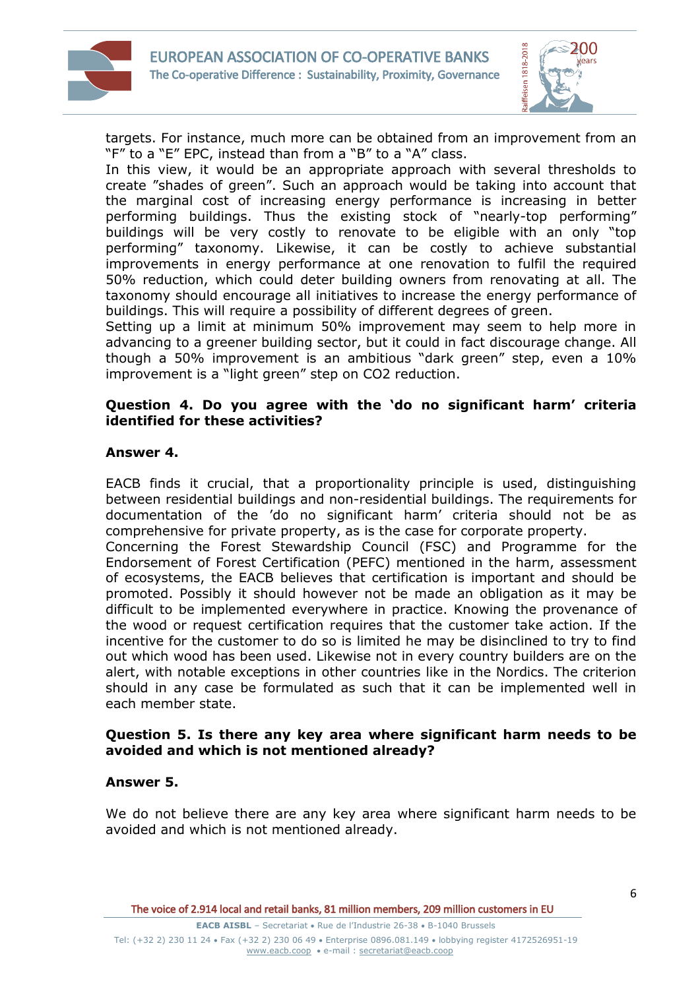



targets. For instance, much more can be obtained from an improvement from an "F" to a "E" EPC, instead than from a "B" to a "A" class.

In this view, it would be an appropriate approach with several thresholds to create "shades of green". Such an approach would be taking into account that the marginal cost of increasing energy performance is increasing in better performing buildings. Thus the existing stock of "nearly-top performing" buildings will be very costly to renovate to be eligible with an only "top performing" taxonomy. Likewise, it can be costly to achieve substantial improvements in energy performance at one renovation to fulfil the required 50% reduction, which could deter building owners from renovating at all. The taxonomy should encourage all initiatives to increase the energy performance of buildings. This will require a possibility of different degrees of green.

Setting up a limit at minimum 50% improvement may seem to help more in advancing to a greener building sector, but it could in fact discourage change. All though a 50% improvement is an ambitious "dark green" step, even a 10% improvement is a "light green" step on CO2 reduction.

### **Question 4. Do you agree with the 'do no significant harm' criteria identified for these activities?**

# **Answer 4.**

EACB finds it crucial, that a proportionality principle is used, distinguishing between residential buildings and non-residential buildings. The requirements for documentation of the 'do no significant harm' criteria should not be as comprehensive for private property, as is the case for corporate property.

Concerning the Forest Stewardship Council (FSC) and Programme for the Endorsement of Forest Certification (PEFC) mentioned in the harm, assessment of ecosystems, the EACB believes that certification is important and should be promoted. Possibly it should however not be made an obligation as it may be difficult to be implemented everywhere in practice. Knowing the provenance of the wood or request certification requires that the customer take action. If the incentive for the customer to do so is limited he may be disinclined to try to find out which wood has been used. Likewise not in every country builders are on the alert, with notable exceptions in other countries like in the Nordics. The criterion should in any case be formulated as such that it can be implemented well in each member state.

### **Question 5. Is there any key area where significant harm needs to be avoided and which is not mentioned already?**

## **Answer 5.**

We do not believe there are any key area where significant harm needs to be avoided and which is not mentioned already.